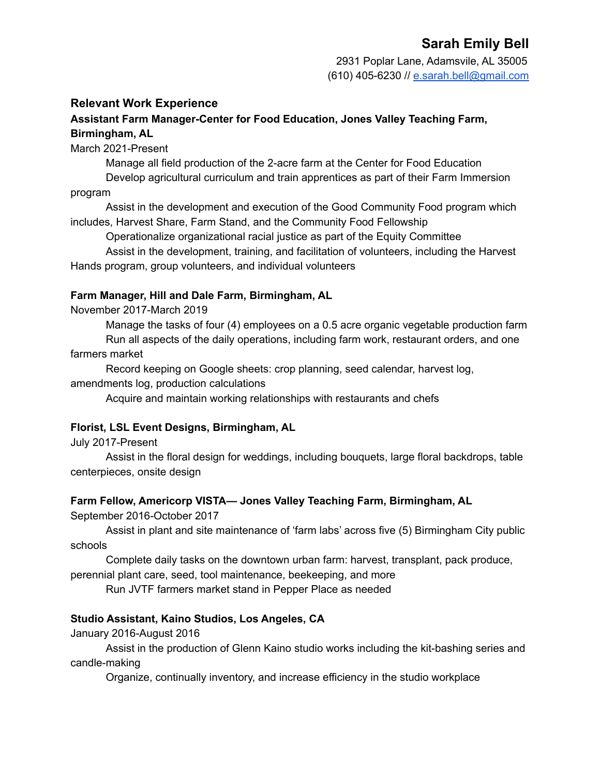# **Sarah Emily Bell**

2931 Poplar Lane, Adamsvile, AL 35005 (610) 405-6230 // [e.sarah.bell@gmail.com](mailto:e.sarah.bell@gmail.com)

# **Relevant Work Experience**

# **Assistant Farm Manager-Center for Food Education, Jones Valley Teaching Farm, Birmingham, AL**

March 2021-Present

Manage all field production of the 2-acre farm at the Center for Food Education

Develop agricultural curriculum and train apprentices as part of their Farm Immersion program

Assist in the development and execution of the Good Community Food program which includes, Harvest Share, Farm Stand, and the Community Food Fellowship

Operationalize organizational racial justice as part of the Equity Committee

Assist in the development, training, and facilitation of volunteers, including the Harvest Hands program, group volunteers, and individual volunteers

#### **Farm Manager, Hill and Dale Farm, Birmingham, AL**

November 2017-March 2019

Manage the tasks of four (4) employees on a 0.5 acre organic vegetable production farm Run all aspects of the daily operations, including farm work, restaurant orders, and one

farmers market

Record keeping on Google sheets: crop planning, seed calendar, harvest log, amendments log, production calculations

Acquire and maintain working relationships with restaurants and chefs

# **Florist, LSL Event Designs, Birmingham, AL**

July 2017-Present

Assist in the floral design for weddings, including bouquets, large floral backdrops, table centerpieces, onsite design

# **Farm Fellow, Americorp VISTA— Jones Valley Teaching Farm, Birmingham, AL**

September 2016-October 2017

Assist in plant and site maintenance of 'farm labs' across five (5) Birmingham City public schools

Complete daily tasks on the downtown urban farm: harvest, transplant, pack produce, perennial plant care, seed, tool maintenance, beekeeping, and more

Run JVTF farmers market stand in Pepper Place as needed

#### **Studio Assistant, Kaino Studios, Los Angeles, CA**

January 2016-August 2016

Assist in the production of Glenn Kaino studio works including the kit-bashing series and candle-making

Organize, continually inventory, and increase efficiency in the studio workplace